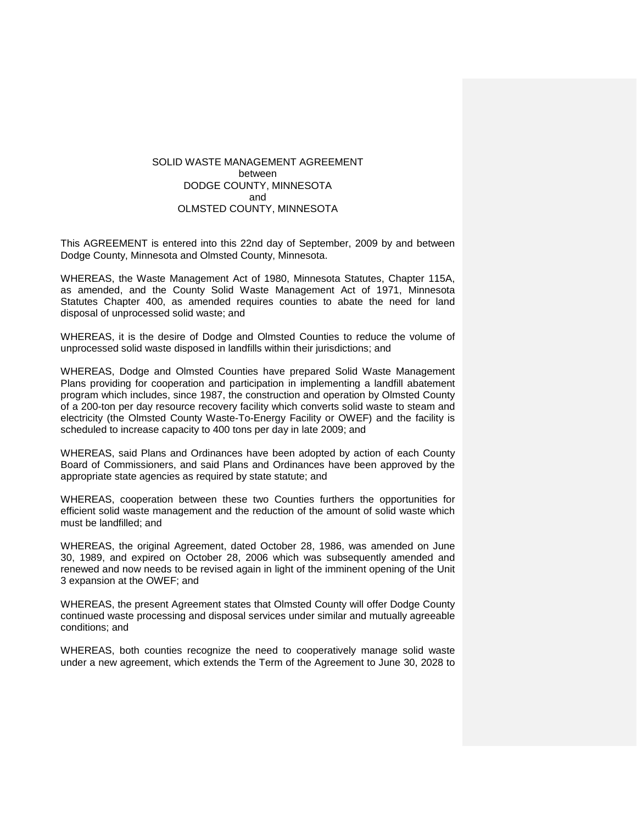## SOLID WASTE MANAGEMENT AGREEMENT between DODGE COUNTY, MINNESOTA and OLMSTED COUNTY, MINNESOTA

This AGREEMENT is entered into this 22nd day of September, 2009 by and between Dodge County, Minnesota and Olmsted County, Minnesota.

WHEREAS, the Waste Management Act of 1980, Minnesota Statutes, Chapter 115A, as amended, and the County Solid Waste Management Act of 1971, Minnesota Statutes Chapter 400, as amended requires counties to abate the need for land disposal of unprocessed solid waste; and

WHEREAS, it is the desire of Dodge and Olmsted Counties to reduce the volume of unprocessed solid waste disposed in landfills within their jurisdictions; and

WHEREAS, Dodge and Olmsted Counties have prepared Solid Waste Management Plans providing for cooperation and participation in implementing a landfill abatement program which includes, since 1987, the construction and operation by Olmsted County of a 200-ton per day resource recovery facility which converts solid waste to steam and electricity (the Olmsted County Waste-To-Energy Facility or OWEF) and the facility is scheduled to increase capacity to 400 tons per day in late 2009; and

WHEREAS, said Plans and Ordinances have been adopted by action of each County Board of Commissioners, and said Plans and Ordinances have been approved by the appropriate state agencies as required by state statute; and

WHEREAS, cooperation between these two Counties furthers the opportunities for efficient solid waste management and the reduction of the amount of solid waste which must be landfilled; and

WHEREAS, the original Agreement, dated October 28, 1986, was amended on June 30, 1989, and expired on October 28, 2006 which was subsequently amended and renewed and now needs to be revised again in light of the imminent opening of the Unit 3 expansion at the OWEF; and

WHEREAS, the present Agreement states that Olmsted County will offer Dodge County continued waste processing and disposal services under similar and mutually agreeable conditions; and

WHEREAS, both counties recognize the need to cooperatively manage solid waste under a new agreement, which extends the Term of the Agreement to June 30, 2028 to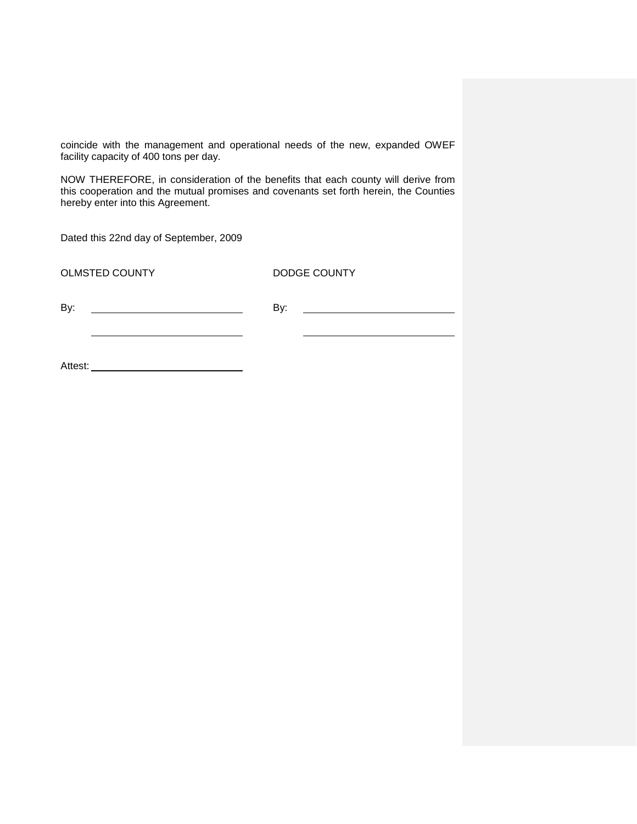coincide with the management and operational needs of the new, expanded OWEF facility capacity of 400 tons per day.

NOW THEREFORE, in consideration of the benefits that each county will derive from this cooperation and the mutual promises and covenants set forth herein, the Counties hereby enter into this Agreement.

Dated this 22nd day of September, 2009

OLMSTED COUNTY DODGE COUNTY

<u> 1980 - Johann Barbara, martin a</u>

By: By:

Attest: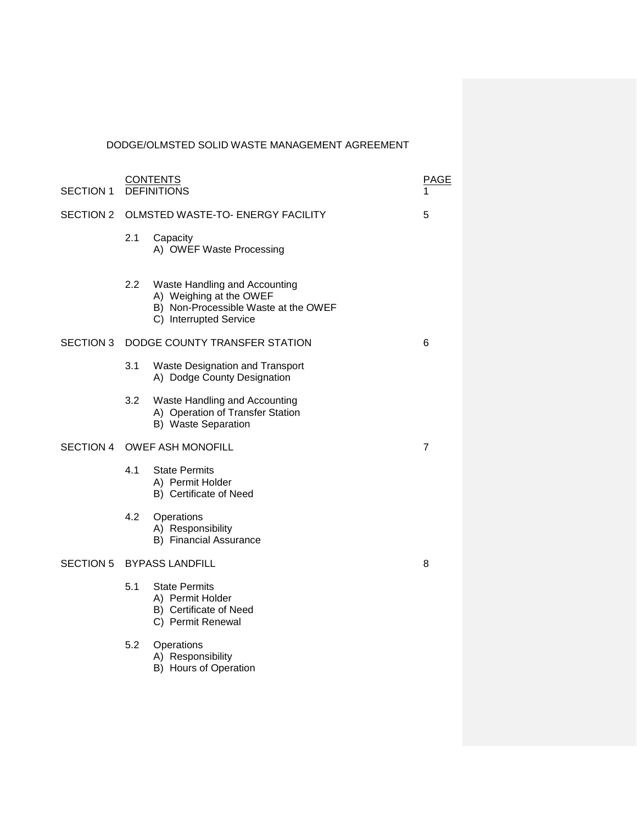# DODGE/OLMSTED SOLID WASTE MANAGEMENT AGREEMENT

| <b>SECTION 1</b> | <b>CONTENTS</b><br><b>DEFINITIONS</b>   |                                                                                                                            | PAGE |
|------------------|-----------------------------------------|----------------------------------------------------------------------------------------------------------------------------|------|
| <b>SECTION 2</b> | OLMSTED WASTE-TO- ENERGY FACILITY       |                                                                                                                            | 5    |
|                  | 2.1                                     | Capacity<br>A) OWEF Waste Processing                                                                                       |      |
|                  | $2.2\phantom{0}$                        | Waste Handling and Accounting<br>A) Weighing at the OWEF<br>B) Non-Processible Waste at the OWEF<br>C) Interrupted Service |      |
|                  | SECTION 3 DODGE COUNTY TRANSFER STATION |                                                                                                                            | 6    |
|                  | 3.1                                     | Waste Designation and Transport<br>A) Dodge County Designation                                                             |      |
|                  | 3.2                                     | Waste Handling and Accounting<br>A) Operation of Transfer Station<br>B) Waste Separation                                   |      |
|                  | SECTION 4 OWEF ASH MONOFILL             |                                                                                                                            | 7    |
|                  | 4.1                                     | <b>State Permits</b><br>A) Permit Holder<br>B) Certificate of Need                                                         |      |
|                  | 4.2                                     | Operations<br>A) Responsibility<br>B) Financial Assurance                                                                  |      |
| <b>SECTION 5</b> |                                         | <b>BYPASS LANDFILL</b>                                                                                                     | 8    |
|                  | 5.1                                     | <b>State Permits</b><br>A) Permit Holder<br>B) Certificate of Need<br>C) Permit Renewal                                    |      |
|                  | 5.2                                     | Operations<br>A) Responsibility<br>B) Hours of Operation                                                                   |      |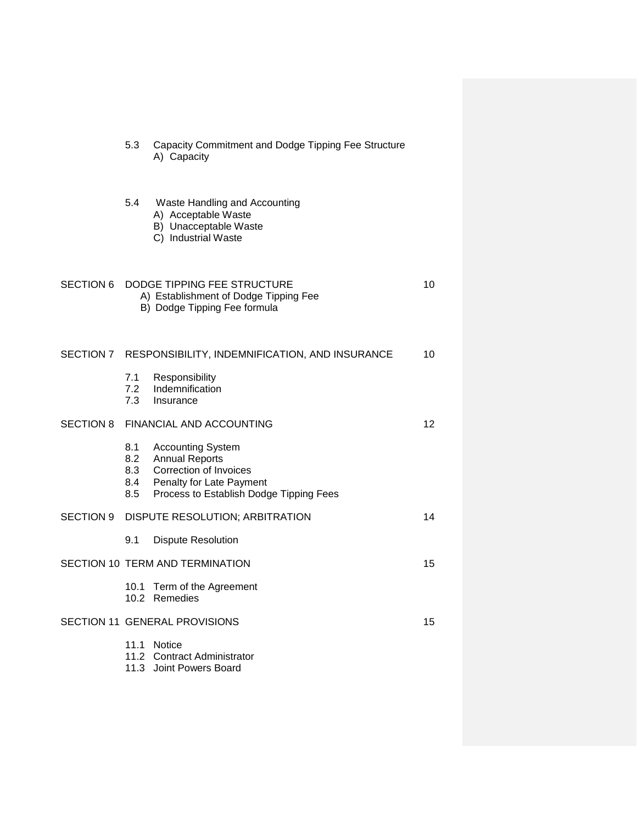|                  | 5.3                                                                                                        | Capacity Commitment and Dodge Tipping Fee Structure<br>A) Capacity                                                                                 |    |
|------------------|------------------------------------------------------------------------------------------------------------|----------------------------------------------------------------------------------------------------------------------------------------------------|----|
|                  | 5.4                                                                                                        | Waste Handling and Accounting<br>A) Acceptable Waste<br>B) Unacceptable Waste<br>C) Industrial Waste                                               |    |
| <b>SECTION 6</b> | DODGE TIPPING FEE STRUCTURE<br>10<br>A) Establishment of Dodge Tipping Fee<br>B) Dodge Tipping Fee formula |                                                                                                                                                    |    |
| SECTION 7        | RESPONSIBILITY, INDEMNIFICATION, AND INSURANCE                                                             |                                                                                                                                                    |    |
|                  | 7.1<br>7.2<br>7.3                                                                                          | Responsibility<br>Indemnification<br>Insurance                                                                                                     |    |
| <b>SECTION 8</b> | FINANCIAL AND ACCOUNTING                                                                                   |                                                                                                                                                    |    |
|                  | 8.1<br>8.2<br>8.3<br>8.4<br>8.5                                                                            | <b>Accounting System</b><br><b>Annual Reports</b><br>Correction of Invoices<br>Penalty for Late Payment<br>Process to Establish Dodge Tipping Fees |    |
| SECTION 9        | DISPUTE RESOLUTION; ARBITRATION                                                                            |                                                                                                                                                    | 14 |
|                  | 9.1                                                                                                        | <b>Dispute Resolution</b>                                                                                                                          |    |
|                  | SECTION 10 TERM AND TERMINATION<br>15                                                                      |                                                                                                                                                    |    |
|                  |                                                                                                            | 10.1 Term of the Agreement<br>10.2 Remedies                                                                                                        |    |
|                  | SECTION 11 GENERAL PROVISIONS                                                                              |                                                                                                                                                    |    |
|                  | 11.3                                                                                                       | 11.1 Notice<br>11.2 Contract Administrator<br>Joint Powers Board                                                                                   |    |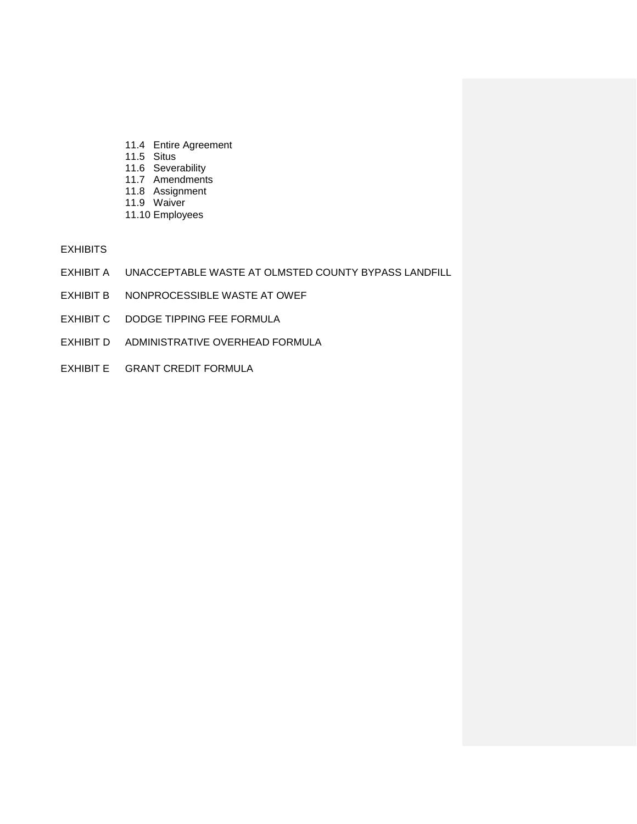- 11.4 Entire Agreement
- 11.5 Situs
- 11.6 Severability
- 11.7 Amendments
- 11.8 Assignment
- 11.9 Waiver
- 11.10 Employees

EXHIBITS

- EXHIBIT A UNACCEPTABLE WASTE AT OLMSTED COUNTY BYPASS LANDFILL
- EXHIBIT B NONPROCESSIBLE WASTE AT OWEF
- EXHIBIT C DODGE TIPPING FEE FORMULA
- EXHIBIT D ADMINISTRATIVE OVERHEAD FORMULA
- EXHIBIT E GRANT CREDIT FORMULA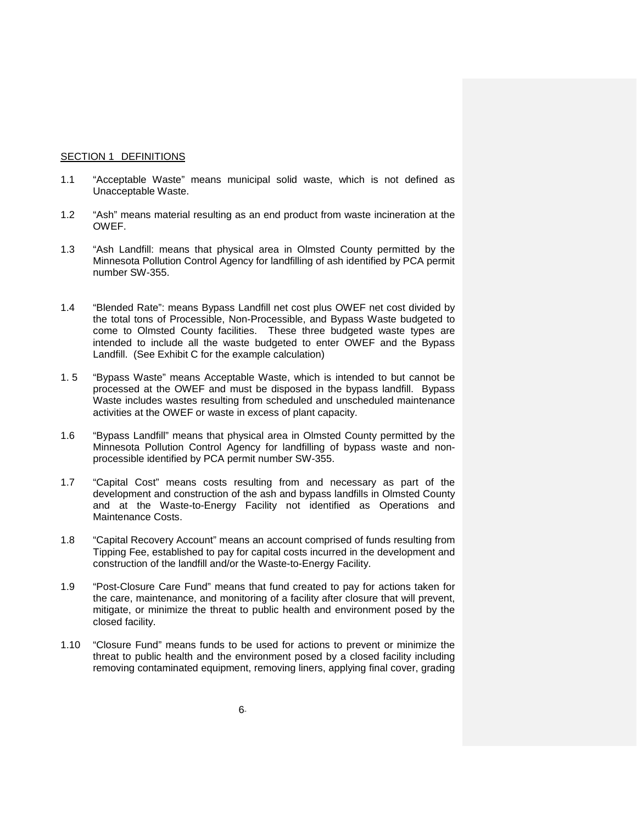#### SECTION 1 DEFINITIONS

- 1.1 "Acceptable Waste" means municipal solid waste, which is not defined as Unacceptable Waste.
- 1.2 "Ash" means material resulting as an end product from waste incineration at the OWEF.
- 1.3 "Ash Landfill: means that physical area in Olmsted County permitted by the Minnesota Pollution Control Agency for landfilling of ash identified by PCA permit number SW-355.
- 1.4 "Blended Rate": means Bypass Landfill net cost plus OWEF net cost divided by the total tons of Processible, Non-Processible, and Bypass Waste budgeted to come to Olmsted County facilities. These three budgeted waste types are intended to include all the waste budgeted to enter OWEF and the Bypass Landfill. (See Exhibit C for the example calculation)
- 1. 5 "Bypass Waste" means Acceptable Waste, which is intended to but cannot be processed at the OWEF and must be disposed in the bypass landfill. Bypass Waste includes wastes resulting from scheduled and unscheduled maintenance activities at the OWEF or waste in excess of plant capacity.
- 1.6 "Bypass Landfill" means that physical area in Olmsted County permitted by the Minnesota Pollution Control Agency for landfilling of bypass waste and nonprocessible identified by PCA permit number SW-355.
- 1.7 "Capital Cost" means costs resulting from and necessary as part of the development and construction of the ash and bypass landfills in Olmsted County and at the Waste-to-Energy Facility not identified as Operations and Maintenance Costs.
- 1.8 "Capital Recovery Account" means an account comprised of funds resulting from Tipping Fee, established to pay for capital costs incurred in the development and construction of the landfill and/or the Waste-to-Energy Facility.
- 1.9 "Post-Closure Care Fund" means that fund created to pay for actions taken for the care, maintenance, and monitoring of a facility after closure that will prevent, mitigate, or minimize the threat to public health and environment posed by the closed facility.
- 1.10 "Closure Fund" means funds to be used for actions to prevent or minimize the threat to public health and the environment posed by a closed facility including removing contaminated equipment, removing liners, applying final cover, grading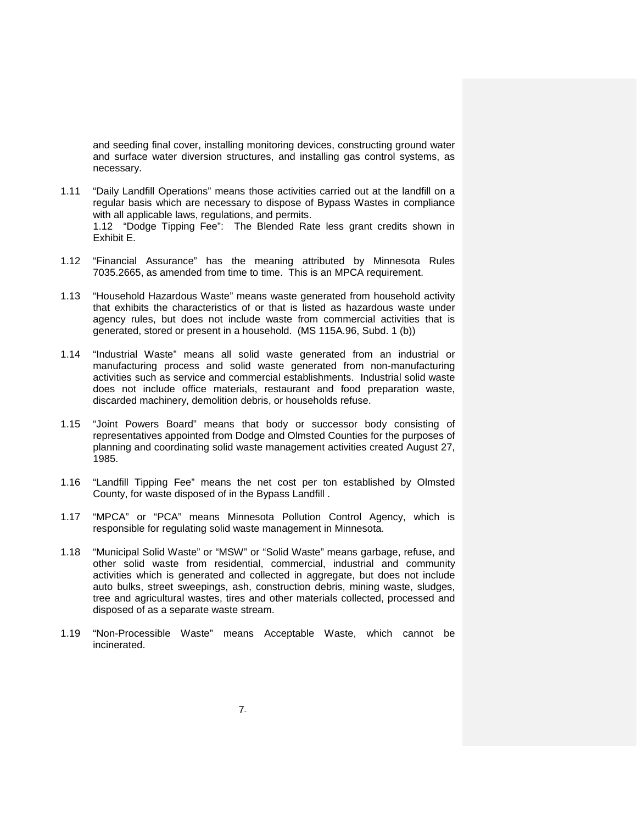and seeding final cover, installing monitoring devices, constructing ground water and surface water diversion structures, and installing gas control systems, as necessary.

- 1.11 "Daily Landfill Operations" means those activities carried out at the landfill on a regular basis which are necessary to dispose of Bypass Wastes in compliance with all applicable laws, regulations, and permits. 1.12 "Dodge Tipping Fee": The Blended Rate less grant credits shown in Exhibit E.
- 1.12 "Financial Assurance" has the meaning attributed by Minnesota Rules 7035.2665, as amended from time to time. This is an MPCA requirement.
- 1.13 "Household Hazardous Waste" means waste generated from household activity that exhibits the characteristics of or that is listed as hazardous waste under agency rules, but does not include waste from commercial activities that is generated, stored or present in a household. (MS 115A.96, Subd. 1 (b))
- 1.14 "Industrial Waste" means all solid waste generated from an industrial or manufacturing process and solid waste generated from non-manufacturing activities such as service and commercial establishments. Industrial solid waste does not include office materials, restaurant and food preparation waste, discarded machinery, demolition debris, or households refuse.
- 1.15 "Joint Powers Board" means that body or successor body consisting of representatives appointed from Dodge and Olmsted Counties for the purposes of planning and coordinating solid waste management activities created August 27, 1985.
- 1.16 "Landfill Tipping Fee" means the net cost per ton established by Olmsted County, for waste disposed of in the Bypass Landfill .
- 1.17 "MPCA" or "PCA" means Minnesota Pollution Control Agency, which is responsible for regulating solid waste management in Minnesota.
- 1.18 "Municipal Solid Waste" or "MSW" or "Solid Waste" means garbage, refuse, and other solid waste from residential, commercial, industrial and community activities which is generated and collected in aggregate, but does not include auto bulks, street sweepings, ash, construction debris, mining waste, sludges, tree and agricultural wastes, tires and other materials collected, processed and disposed of as a separate waste stream.
- 1.19 "Non-Processible Waste" means Acceptable Waste, which cannot be incinerated.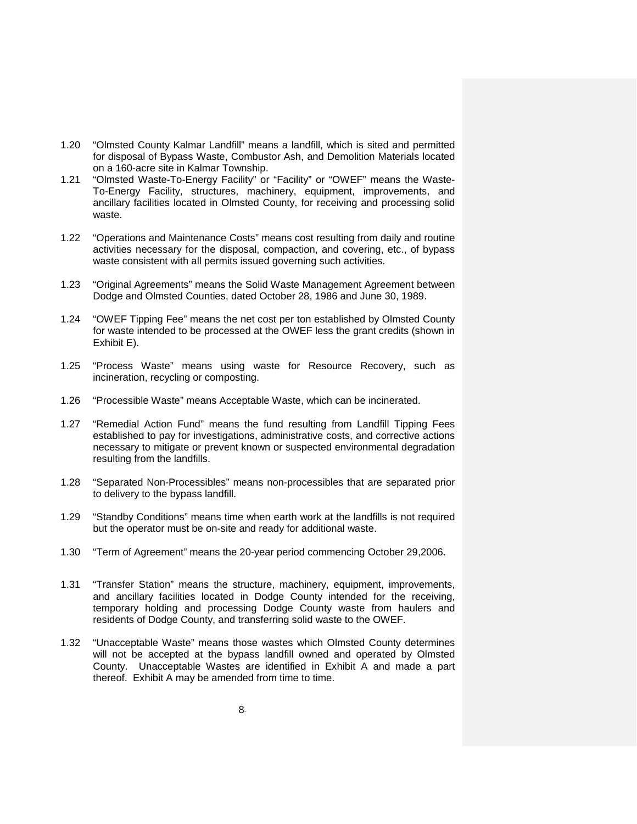- 1.20 "Olmsted County Kalmar Landfill" means a landfill, which is sited and permitted for disposal of Bypass Waste, Combustor Ash, and Demolition Materials located on a 160-acre site in Kalmar Township.
- 1.21 "Olmsted Waste-To-Energy Facility" or "Facility" or "OWEF" means the Waste-To-Energy Facility, structures, machinery, equipment, improvements, and ancillary facilities located in Olmsted County, for receiving and processing solid waste.
- 1.22 "Operations and Maintenance Costs" means cost resulting from daily and routine activities necessary for the disposal, compaction, and covering, etc., of bypass waste consistent with all permits issued governing such activities.
- 1.23 "Original Agreements" means the Solid Waste Management Agreement between Dodge and Olmsted Counties, dated October 28, 1986 and June 30, 1989.
- 1.24 "OWEF Tipping Fee" means the net cost per ton established by Olmsted County for waste intended to be processed at the OWEF less the grant credits (shown in Exhibit E).
- 1.25 "Process Waste" means using waste for Resource Recovery, such as incineration, recycling or composting.
- 1.26 "Processible Waste" means Acceptable Waste, which can be incinerated.
- 1.27 "Remedial Action Fund" means the fund resulting from Landfill Tipping Fees established to pay for investigations, administrative costs, and corrective actions necessary to mitigate or prevent known or suspected environmental degradation resulting from the landfills.
- 1.28 "Separated Non-Processibles" means non-processibles that are separated prior to delivery to the bypass landfill.
- 1.29 "Standby Conditions" means time when earth work at the landfills is not required but the operator must be on-site and ready for additional waste.
- 1.30 "Term of Agreement" means the 20-year period commencing October 29,2006.
- 1.31 "Transfer Station" means the structure, machinery, equipment, improvements, and ancillary facilities located in Dodge County intended for the receiving, temporary holding and processing Dodge County waste from haulers and residents of Dodge County, and transferring solid waste to the OWEF.
- 1.32 "Unacceptable Waste" means those wastes which Olmsted County determines will not be accepted at the bypass landfill owned and operated by Olmsted County. Unacceptable Wastes are identified in Exhibit A and made a part thereof. Exhibit A may be amended from time to time.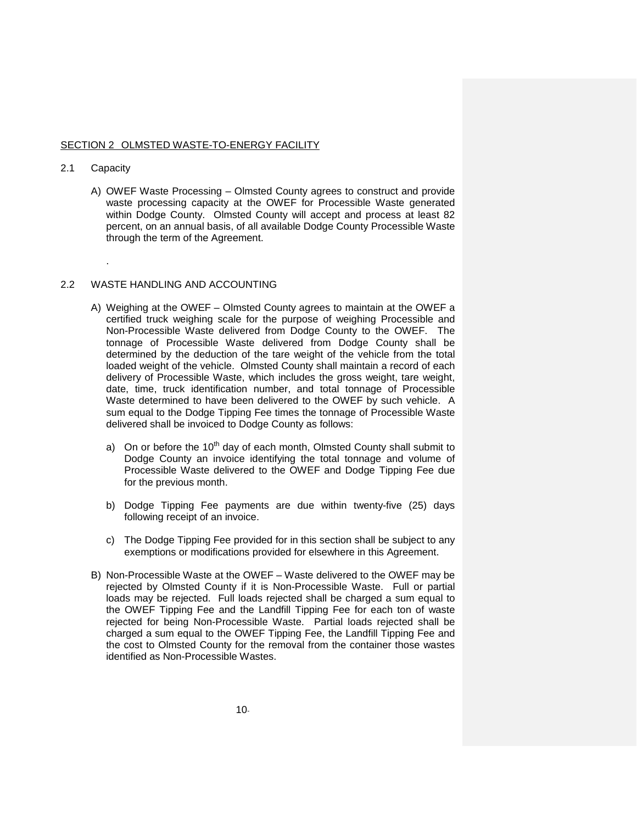#### SECTION 2 OLMSTED WASTE-TO-ENERGY FACILITY

#### 2.1 Capacity

.

A) OWEF Waste Processing – Olmsted County agrees to construct and provide waste processing capacity at the OWEF for Processible Waste generated within Dodge County. Olmsted County will accept and process at least 82 percent, on an annual basis, of all available Dodge County Processible Waste through the term of the Agreement.

#### 2.2 WASTE HANDLING AND ACCOUNTING

- A) Weighing at the OWEF Olmsted County agrees to maintain at the OWEF a certified truck weighing scale for the purpose of weighing Processible and Non-Processible Waste delivered from Dodge County to the OWEF. The tonnage of Processible Waste delivered from Dodge County shall be determined by the deduction of the tare weight of the vehicle from the total loaded weight of the vehicle. Olmsted County shall maintain a record of each delivery of Processible Waste, which includes the gross weight, tare weight, date, time, truck identification number, and total tonnage of Processible Waste determined to have been delivered to the OWEF by such vehicle. A sum equal to the Dodge Tipping Fee times the tonnage of Processible Waste delivered shall be invoiced to Dodge County as follows:
	- a) On or before the  $10<sup>th</sup>$  day of each month, Olmsted County shall submit to Dodge County an invoice identifying the total tonnage and volume of Processible Waste delivered to the OWEF and Dodge Tipping Fee due for the previous month.
	- b) Dodge Tipping Fee payments are due within twenty-five (25) days following receipt of an invoice.
	- c) The Dodge Tipping Fee provided for in this section shall be subject to any exemptions or modifications provided for elsewhere in this Agreement.
- B) Non-Processible Waste at the OWEF Waste delivered to the OWEF may be rejected by Olmsted County if it is Non-Processible Waste. Full or partial loads may be rejected. Full loads rejected shall be charged a sum equal to the OWEF Tipping Fee and the Landfill Tipping Fee for each ton of waste rejected for being Non-Processible Waste. Partial loads rejected shall be charged a sum equal to the OWEF Tipping Fee, the Landfill Tipping Fee and the cost to Olmsted County for the removal from the container those wastes identified as Non-Processible Wastes.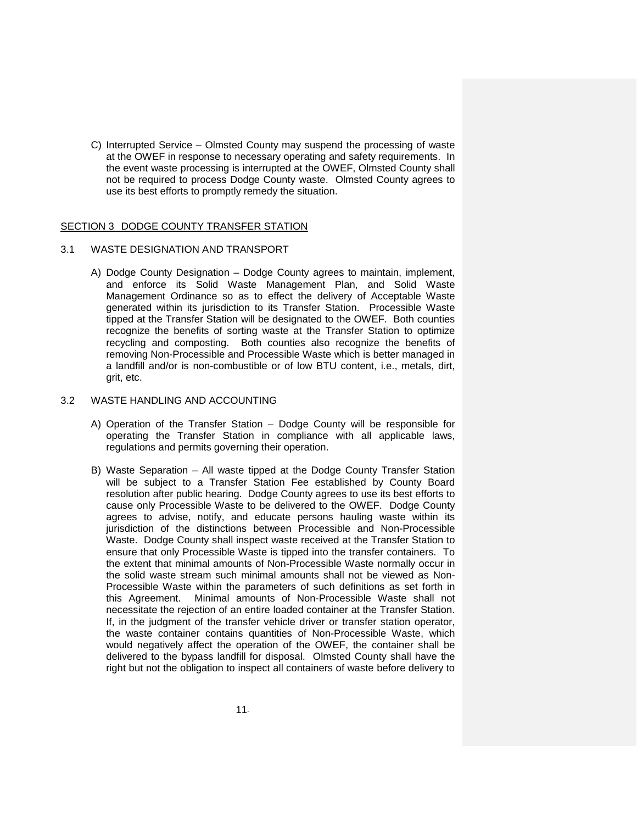C) Interrupted Service – Olmsted County may suspend the processing of waste at the OWEF in response to necessary operating and safety requirements. In the event waste processing is interrupted at the OWEF, Olmsted County shall not be required to process Dodge County waste. Olmsted County agrees to use its best efforts to promptly remedy the situation.

#### SECTION 3 DODGE COUNTY TRANSFER STATION

#### 3.1 WASTE DESIGNATION AND TRANSPORT

A) Dodge County Designation – Dodge County agrees to maintain, implement, and enforce its Solid Waste Management Plan, and Solid Waste Management Ordinance so as to effect the delivery of Acceptable Waste generated within its jurisdiction to its Transfer Station. Processible Waste tipped at the Transfer Station will be designated to the OWEF. Both counties recognize the benefits of sorting waste at the Transfer Station to optimize recycling and composting. Both counties also recognize the benefits of removing Non-Processible and Processible Waste which is better managed in a landfill and/or is non-combustible or of low BTU content, i.e., metals, dirt, grit, etc.

#### 3.2 WASTE HANDLING AND ACCOUNTING

- A) Operation of the Transfer Station Dodge County will be responsible for operating the Transfer Station in compliance with all applicable laws, regulations and permits governing their operation.
- B) Waste Separation All waste tipped at the Dodge County Transfer Station will be subject to a Transfer Station Fee established by County Board resolution after public hearing. Dodge County agrees to use its best efforts to cause only Processible Waste to be delivered to the OWEF. Dodge County agrees to advise, notify, and educate persons hauling waste within its jurisdiction of the distinctions between Processible and Non-Processible Waste. Dodge County shall inspect waste received at the Transfer Station to ensure that only Processible Waste is tipped into the transfer containers. To the extent that minimal amounts of Non-Processible Waste normally occur in the solid waste stream such minimal amounts shall not be viewed as Non-Processible Waste within the parameters of such definitions as set forth in this Agreement. Minimal amounts of Non-Processible Waste shall not necessitate the rejection of an entire loaded container at the Transfer Station. If, in the judgment of the transfer vehicle driver or transfer station operator, the waste container contains quantities of Non-Processible Waste, which would negatively affect the operation of the OWEF, the container shall be delivered to the bypass landfill for disposal. Olmsted County shall have the right but not the obligation to inspect all containers of waste before delivery to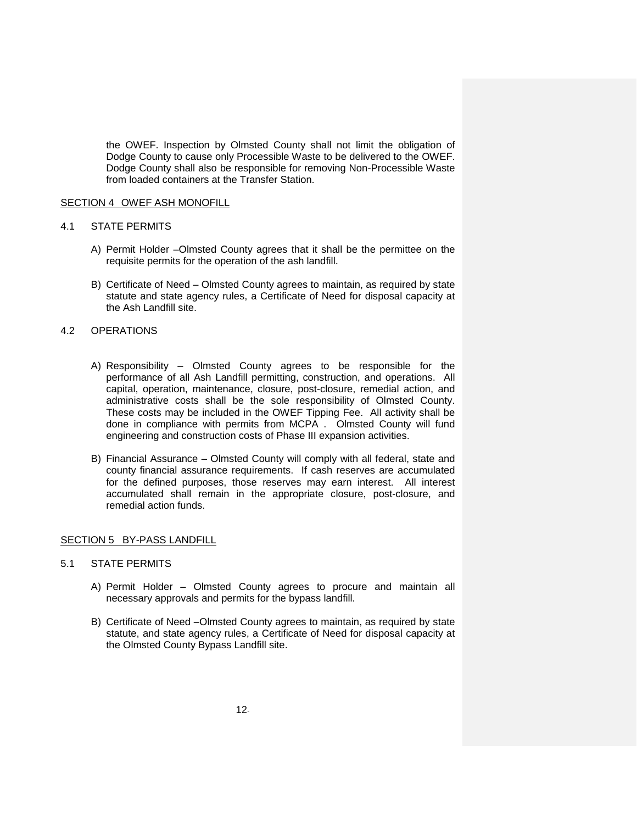the OWEF. Inspection by Olmsted County shall not limit the obligation of Dodge County to cause only Processible Waste to be delivered to the OWEF. Dodge County shall also be responsible for removing Non-Processible Waste from loaded containers at the Transfer Station.

#### SECTION 4 OWEF ASH MONOFILL

#### 4.1 STATE PERMITS

- A) Permit Holder –Olmsted County agrees that it shall be the permittee on the requisite permits for the operation of the ash landfill.
- B) Certificate of Need Olmsted County agrees to maintain, as required by state statute and state agency rules, a Certificate of Need for disposal capacity at the Ash Landfill site.

#### 4.2 OPERATIONS

- A) Responsibility Olmsted County agrees to be responsible for the performance of all Ash Landfill permitting, construction, and operations. All capital, operation, maintenance, closure, post-closure, remedial action, and administrative costs shall be the sole responsibility of Olmsted County. These costs may be included in the OWEF Tipping Fee. All activity shall be done in compliance with permits from MCPA . Olmsted County will fund engineering and construction costs of Phase III expansion activities.
- B) Financial Assurance Olmsted County will comply with all federal, state and county financial assurance requirements. If cash reserves are accumulated for the defined purposes, those reserves may earn interest. All interest accumulated shall remain in the appropriate closure, post-closure, and remedial action funds.

#### SECTION 5 BY-PASS LANDFILL

## 5.1 STATE PERMITS

- A) Permit Holder Olmsted County agrees to procure and maintain all necessary approvals and permits for the bypass landfill.
- B) Certificate of Need –Olmsted County agrees to maintain, as required by state statute, and state agency rules, a Certificate of Need for disposal capacity at the Olmsted County Bypass Landfill site.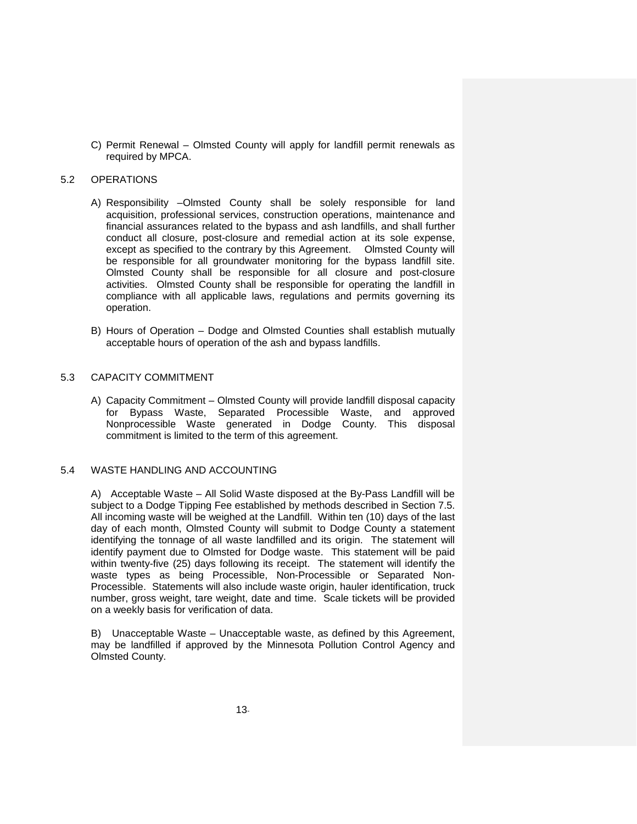C) Permit Renewal – Olmsted County will apply for landfill permit renewals as required by MPCA.

#### 5.2 OPERATIONS

- A) Responsibility –Olmsted County shall be solely responsible for land acquisition, professional services, construction operations, maintenance and financial assurances related to the bypass and ash landfills, and shall further conduct all closure, post-closure and remedial action at its sole expense, except as specified to the contrary by this Agreement. Olmsted County will be responsible for all groundwater monitoring for the bypass landfill site. Olmsted County shall be responsible for all closure and post-closure activities. Olmsted County shall be responsible for operating the landfill in compliance with all applicable laws, regulations and permits governing its operation.
- B) Hours of Operation Dodge and Olmsted Counties shall establish mutually acceptable hours of operation of the ash and bypass landfills.

# 5.3 CAPACITY COMMITMENT

A) Capacity Commitment – Olmsted County will provide landfill disposal capacity for Bypass Waste, Separated Processible Waste, and approved Nonprocessible Waste generated in Dodge County. This disposal commitment is limited to the term of this agreement.

#### 5.4 WASTE HANDLING AND ACCOUNTING

A) Acceptable Waste – All Solid Waste disposed at the By-Pass Landfill will be subject to a Dodge Tipping Fee established by methods described in Section 7.5. All incoming waste will be weighed at the Landfill. Within ten (10) days of the last day of each month, Olmsted County will submit to Dodge County a statement identifying the tonnage of all waste landfilled and its origin. The statement will identify payment due to Olmsted for Dodge waste. This statement will be paid within twenty-five (25) days following its receipt. The statement will identify the waste types as being Processible, Non-Processible or Separated Non-Processible. Statements will also include waste origin, hauler identification, truck number, gross weight, tare weight, date and time. Scale tickets will be provided on a weekly basis for verification of data.

B) Unacceptable Waste – Unacceptable waste, as defined by this Agreement, may be landfilled if approved by the Minnesota Pollution Control Agency and Olmsted County.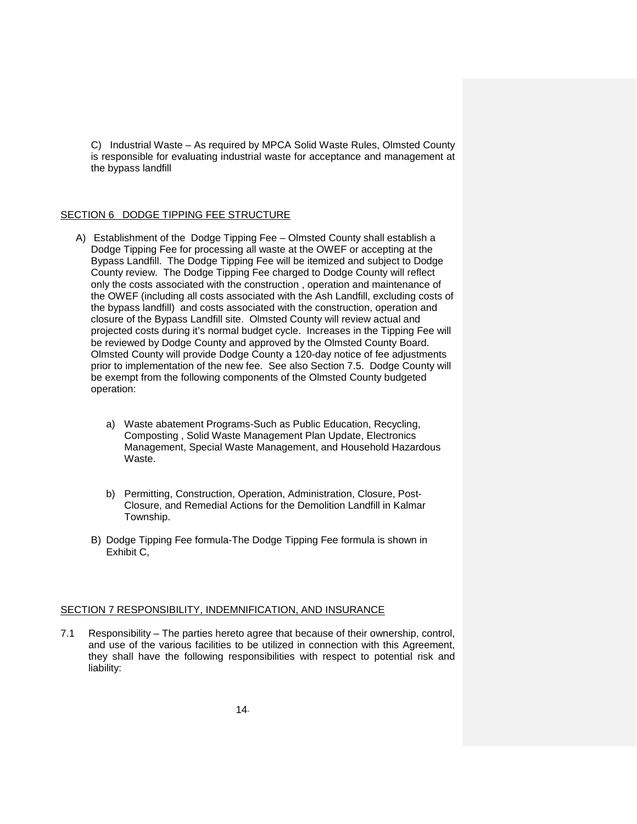C) Industrial Waste – As required by MPCA Solid Waste Rules, Olmsted County is responsible for evaluating industrial waste for acceptance and management at the bypass landfill

# SECTION 6 DODGE TIPPING FEE STRUCTURE

- A) Establishment of the Dodge Tipping Fee Olmsted County shall establish a Dodge Tipping Fee for processing all waste at the OWEF or accepting at the Bypass Landfill. The Dodge Tipping Fee will be itemized and subject to Dodge County review. The Dodge Tipping Fee charged to Dodge County will reflect only the costs associated with the construction , operation and maintenance of the OWEF (including all costs associated with the Ash Landfill, excluding costs of the bypass landfill) and costs associated with the construction, operation and closure of the Bypass Landfill site. Olmsted County will review actual and projected costs during it's normal budget cycle. Increases in the Tipping Fee will be reviewed by Dodge County and approved by the Olmsted County Board. Olmsted County will provide Dodge County a 120-day notice of fee adjustments prior to implementation of the new fee. See also Section 7.5. Dodge County will be exempt from the following components of the Olmsted County budgeted operation:
	- a) Waste abatement Programs-Such as Public Education, Recycling, Composting , Solid Waste Management Plan Update, Electronics Management, Special Waste Management, and Household Hazardous Waste.
	- b) Permitting, Construction, Operation, Administration, Closure, Post-Closure, and Remedial Actions for the Demolition Landfill in Kalmar Township.
	- B) Dodge Tipping Fee formula-The Dodge Tipping Fee formula is shown in Exhibit C,

#### SECTION 7 RESPONSIBILITY, INDEMNIFICATION, AND INSURANCE

7.1 Responsibility – The parties hereto agree that because of their ownership, control, and use of the various facilities to be utilized in connection with this Agreement, they shall have the following responsibilities with respect to potential risk and liability: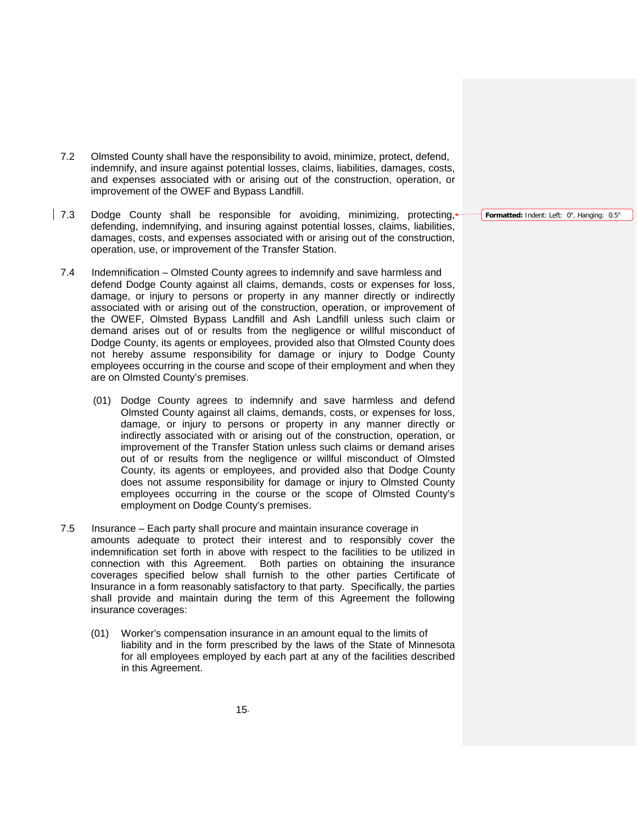- 7.2 Olmsted County shall have the responsibility to avoid, minimize, protect, defend, indemnify, and insure against potential losses, claims, liabilities, damages, costs, and expenses associated with or arising out of the construction, operation, or improvement of the OWEF and Bypass Landfill.
- 7.3 Dodge County shall be responsible for avoiding, minimizing, protecting, defending, indemnifying, and insuring against potential losses, claims, liabilities, damages, costs, and expenses associated with or arising out of the construction, operation, use, or improvement of the Transfer Station.
	- 7.4 Indemnification Olmsted County agrees to indemnify and save harmless and defend Dodge County against all claims, demands, costs or expenses for loss, damage, or injury to persons or property in any manner directly or indirectly associated with or arising out of the construction, operation, or improvement of the OWEF, Olmsted Bypass Landfill and Ash Landfill unless such claim or demand arises out of or results from the negligence or willful misconduct of Dodge County, its agents or employees, provided also that Olmsted County does not hereby assume responsibility for damage or injury to Dodge County employees occurring in the course and scope of their employment and when they are on Olmsted County's premises.
		- (01) Dodge County agrees to indemnify and save harmless and defend Olmsted County against all claims, demands, costs, or expenses for loss, damage, or injury to persons or property in any manner directly or indirectly associated with or arising out of the construction, operation, or improvement of the Transfer Station unless such claims or demand arises out of or results from the negligence or willful misconduct of Olmsted County, its agents or employees, and provided also that Dodge County does not assume responsibility for damage or injury to Olmsted County employees occurring in the course or the scope of Olmsted County's employment on Dodge County's premises.
	- 7.5 Insurance Each party shall procure and maintain insurance coverage in amounts adequate to protect their interest and to responsibly cover the indemnification set forth in above with respect to the facilities to be utilized in connection with this Agreement. Both parties on obtaining the insurance coverages specified below shall furnish to the other parties Certificate of Insurance in a form reasonably satisfactory to that party. Specifically, the parties shall provide and maintain during the term of this Agreement the following insurance coverages:
		- (01) Worker's compensation insurance in an amount equal to the limits of liability and in the form prescribed by the laws of the State of Minnesota for all employees employed by each part at any of the facilities described in this Agreement.

**Formatted:** Indent: Left: 0", Hanging: 0.5"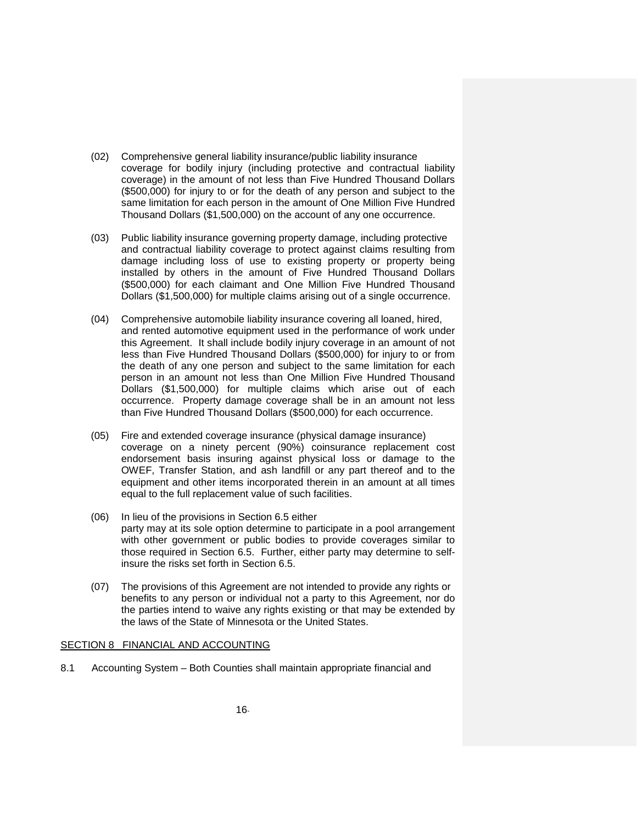- (02) Comprehensive general liability insurance/public liability insurance coverage for bodily injury (including protective and contractual liability coverage) in the amount of not less than Five Hundred Thousand Dollars (\$500,000) for injury to or for the death of any person and subject to the same limitation for each person in the amount of One Million Five Hundred Thousand Dollars (\$1,500,000) on the account of any one occurrence.
- (03) Public liability insurance governing property damage, including protective and contractual liability coverage to protect against claims resulting from damage including loss of use to existing property or property being installed by others in the amount of Five Hundred Thousand Dollars (\$500,000) for each claimant and One Million Five Hundred Thousand Dollars (\$1,500,000) for multiple claims arising out of a single occurrence.
- (04) Comprehensive automobile liability insurance covering all loaned, hired, and rented automotive equipment used in the performance of work under this Agreement. It shall include bodily injury coverage in an amount of not less than Five Hundred Thousand Dollars (\$500,000) for injury to or from the death of any one person and subject to the same limitation for each person in an amount not less than One Million Five Hundred Thousand Dollars (\$1,500,000) for multiple claims which arise out of each occurrence. Property damage coverage shall be in an amount not less than Five Hundred Thousand Dollars (\$500,000) for each occurrence.
- (05) Fire and extended coverage insurance (physical damage insurance) coverage on a ninety percent (90%) coinsurance replacement cost endorsement basis insuring against physical loss or damage to the OWEF, Transfer Station, and ash landfill or any part thereof and to the equipment and other items incorporated therein in an amount at all times equal to the full replacement value of such facilities.
- (06) In lieu of the provisions in Section 6.5 either party may at its sole option determine to participate in a pool arrangement with other government or public bodies to provide coverages similar to those required in Section 6.5. Further, either party may determine to selfinsure the risks set forth in Section 6.5.
- (07) The provisions of this Agreement are not intended to provide any rights or benefits to any person or individual not a party to this Agreement, nor do the parties intend to waive any rights existing or that may be extended by the laws of the State of Minnesota or the United States.

#### SECTION 8 FINANCIAL AND ACCOUNTING

8.1 Accounting System – Both Counties shall maintain appropriate financial and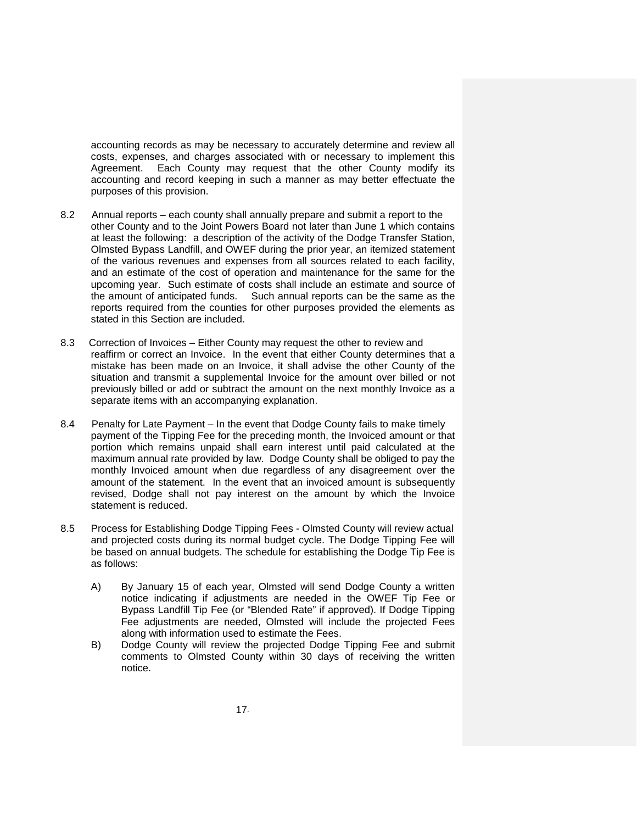accounting records as may be necessary to accurately determine and review all costs, expenses, and charges associated with or necessary to implement this Agreement. Each County may request that the other County modify its accounting and record keeping in such a manner as may better effectuate the purposes of this provision.

- 8.2 Annual reports each county shall annually prepare and submit a report to the other County and to the Joint Powers Board not later than June 1 which contains at least the following: a description of the activity of the Dodge Transfer Station, Olmsted Bypass Landfill, and OWEF during the prior year, an itemized statement of the various revenues and expenses from all sources related to each facility, and an estimate of the cost of operation and maintenance for the same for the upcoming year. Such estimate of costs shall include an estimate and source of the amount of anticipated funds. Such annual reports can be the same as the reports required from the counties for other purposes provided the elements as stated in this Section are included.
- 8.3 Correction of Invoices Either County may request the other to review and reaffirm or correct an Invoice. In the event that either County determines that a mistake has been made on an Invoice, it shall advise the other County of the situation and transmit a supplemental Invoice for the amount over billed or not previously billed or add or subtract the amount on the next monthly Invoice as a separate items with an accompanying explanation.
- 8.4 Penalty for Late Payment In the event that Dodge County fails to make timely payment of the Tipping Fee for the preceding month, the Invoiced amount or that portion which remains unpaid shall earn interest until paid calculated at the maximum annual rate provided by law. Dodge County shall be obliged to pay the monthly Invoiced amount when due regardless of any disagreement over the amount of the statement. In the event that an invoiced amount is subsequently revised, Dodge shall not pay interest on the amount by which the Invoice statement is reduced.
- 8.5 Process for Establishing Dodge Tipping Fees Olmsted County will review actual and projected costs during its normal budget cycle. The Dodge Tipping Fee will be based on annual budgets. The schedule for establishing the Dodge Tip Fee is as follows:
	- A) By January 15 of each year, Olmsted will send Dodge County a written notice indicating if adjustments are needed in the OWEF Tip Fee or Bypass Landfill Tip Fee (or "Blended Rate" if approved). If Dodge Tipping Fee adjustments are needed, Olmsted will include the projected Fees along with information used to estimate the Fees.
	- B) Dodge County will review the projected Dodge Tipping Fee and submit comments to Olmsted County within 30 days of receiving the written notice.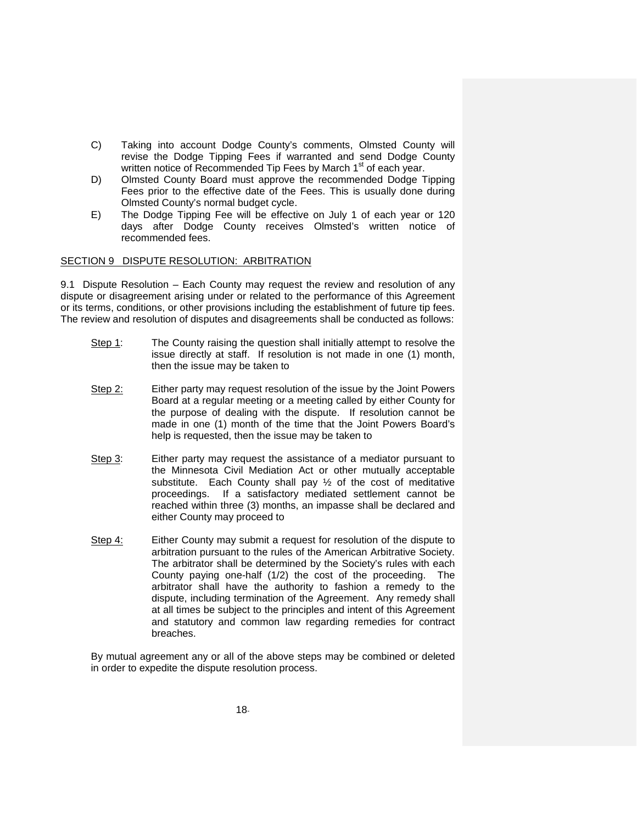- C) Taking into account Dodge County's comments, Olmsted County will revise the Dodge Tipping Fees if warranted and send Dodge County written notice of Recommended Tip Fees by March 1<sup>st</sup> of each year.
- D) Olmsted County Board must approve the recommended Dodge Tipping Fees prior to the effective date of the Fees. This is usually done during Olmsted County's normal budget cycle.
- E) The Dodge Tipping Fee will be effective on July 1 of each year or 120 days after Dodge County receives Olmsted's written notice of recommended fees.

### SECTION 9 DISPUTE RESOLUTION: ARBITRATION

9.1 Dispute Resolution – Each County may request the review and resolution of any dispute or disagreement arising under or related to the performance of this Agreement or its terms, conditions, or other provisions including the establishment of future tip fees. The review and resolution of disputes and disagreements shall be conducted as follows:

- Step 1: The County raising the question shall initially attempt to resolve the issue directly at staff. If resolution is not made in one (1) month, then the issue may be taken to
- Step 2: Either party may request resolution of the issue by the Joint Powers Board at a regular meeting or a meeting called by either County for the purpose of dealing with the dispute. If resolution cannot be made in one (1) month of the time that the Joint Powers Board's help is requested, then the issue may be taken to
- Step 3: Either party may request the assistance of a mediator pursuant to the Minnesota Civil Mediation Act or other mutually acceptable substitute. Each County shall pay ½ of the cost of meditative proceedings. If a satisfactory mediated settlement cannot be reached within three (3) months, an impasse shall be declared and either County may proceed to
- Step 4: Either County may submit a request for resolution of the dispute to arbitration pursuant to the rules of the American Arbitrative Society. The arbitrator shall be determined by the Society's rules with each County paying one-half (1/2) the cost of the proceeding. The arbitrator shall have the authority to fashion a remedy to the dispute, including termination of the Agreement. Any remedy shall at all times be subject to the principles and intent of this Agreement and statutory and common law regarding remedies for contract breaches.

By mutual agreement any or all of the above steps may be combined or deleted in order to expedite the dispute resolution process.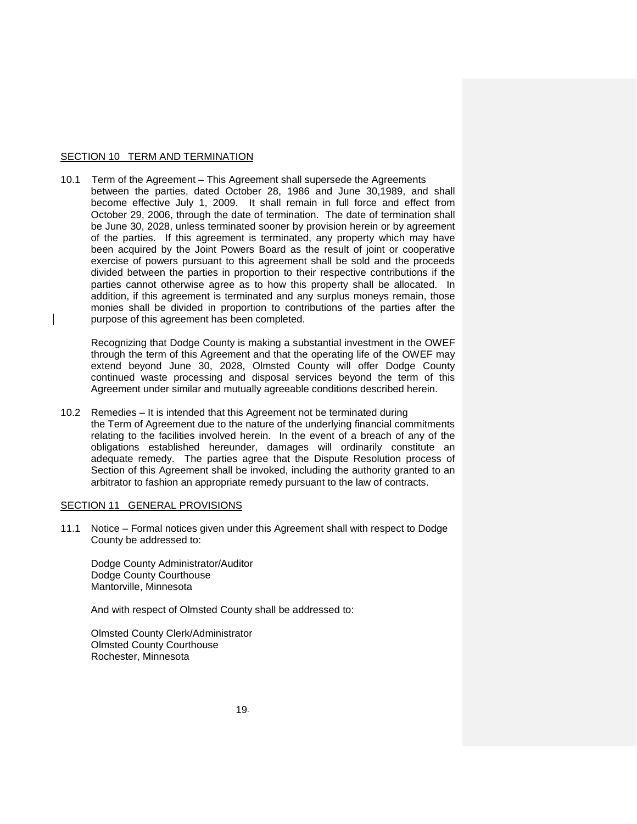#### SECTION 10 TERM AND TERMINATION

10.1 Term of the Agreement – This Agreement shall supersede the Agreements between the parties, dated October 28, 1986 and June 30,1989, and shall become effective July 1, 2009. It shall remain in full force and effect from October 29, 2006, through the date of termination. The date of termination shall be June 30, 2028, unless terminated sooner by provision herein or by agreement of the parties. If this agreement is terminated, any property which may have been acquired by the Joint Powers Board as the result of joint or cooperative exercise of powers pursuant to this agreement shall be sold and the proceeds divided between the parties in proportion to their respective contributions if the parties cannot otherwise agree as to how this property shall be allocated. In addition, if this agreement is terminated and any surplus moneys remain, those monies shall be divided in proportion to contributions of the parties after the purpose of this agreement has been completed.

Recognizing that Dodge County is making a substantial investment in the OWEF through the term of this Agreement and that the operating life of the OWEF may extend beyond June 30, 2028, Olmsted County will offer Dodge County continued waste processing and disposal services beyond the term of this Agreement under similar and mutually agreeable conditions described herein.

10.2 Remedies – It is intended that this Agreement not be terminated during the Term of Agreement due to the nature of the underlying financial commitments relating to the facilities involved herein. In the event of a breach of any of the obligations established hereunder, damages will ordinarily constitute an adequate remedy. The parties agree that the Dispute Resolution process of Section of this Agreement shall be invoked, including the authority granted to an arbitrator to fashion an appropriate remedy pursuant to the law of contracts.

#### SECTION 11 GENERAL PROVISIONS

11.1 Notice – Formal notices given under this Agreement shall with respect to Dodge County be addressed to:

Dodge County Administrator/Auditor Dodge County Courthouse Mantorville, Minnesota

And with respect of Olmsted County shall be addressed to:

Olmsted County Clerk/Administrator Olmsted County Courthouse Rochester, Minnesota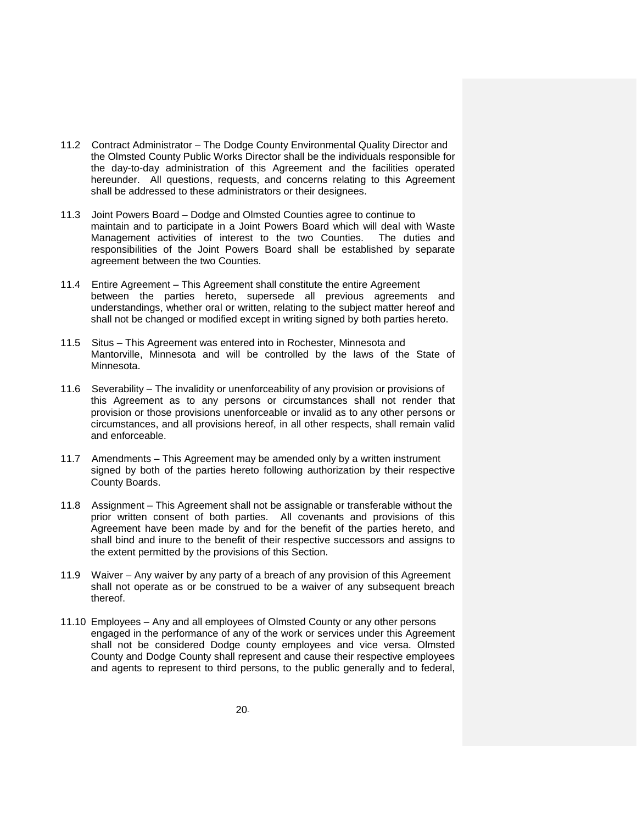- 11.2 Contract Administrator The Dodge County Environmental Quality Director and the Olmsted County Public Works Director shall be the individuals responsible for the day-to-day administration of this Agreement and the facilities operated hereunder. All questions, requests, and concerns relating to this Agreement shall be addressed to these administrators or their designees.
- 11.3 Joint Powers Board Dodge and Olmsted Counties agree to continue to maintain and to participate in a Joint Powers Board which will deal with Waste Management activities of interest to the two Counties. The duties and responsibilities of the Joint Powers Board shall be established by separate agreement between the two Counties.
- 11.4 Entire Agreement This Agreement shall constitute the entire Agreement between the parties hereto, supersede all previous agreements and understandings, whether oral or written, relating to the subject matter hereof and shall not be changed or modified except in writing signed by both parties hereto.
- 11.5 Situs This Agreement was entered into in Rochester, Minnesota and Mantorville, Minnesota and will be controlled by the laws of the State of Minnesota.
- 11.6 Severability The invalidity or unenforceability of any provision or provisions of this Agreement as to any persons or circumstances shall not render that provision or those provisions unenforceable or invalid as to any other persons or circumstances, and all provisions hereof, in all other respects, shall remain valid and enforceable.
- 11.7 Amendments This Agreement may be amended only by a written instrument signed by both of the parties hereto following authorization by their respective County Boards.
- 11.8 Assignment This Agreement shall not be assignable or transferable without the prior written consent of both parties. All covenants and provisions of this Agreement have been made by and for the benefit of the parties hereto, and shall bind and inure to the benefit of their respective successors and assigns to the extent permitted by the provisions of this Section.
- 11.9 Waiver Any waiver by any party of a breach of any provision of this Agreement shall not operate as or be construed to be a waiver of any subsequent breach thereof.
- 11.10 Employees Any and all employees of Olmsted County or any other persons engaged in the performance of any of the work or services under this Agreement shall not be considered Dodge county employees and vice versa. Olmsted County and Dodge County shall represent and cause their respective employees and agents to represent to third persons, to the public generally and to federal,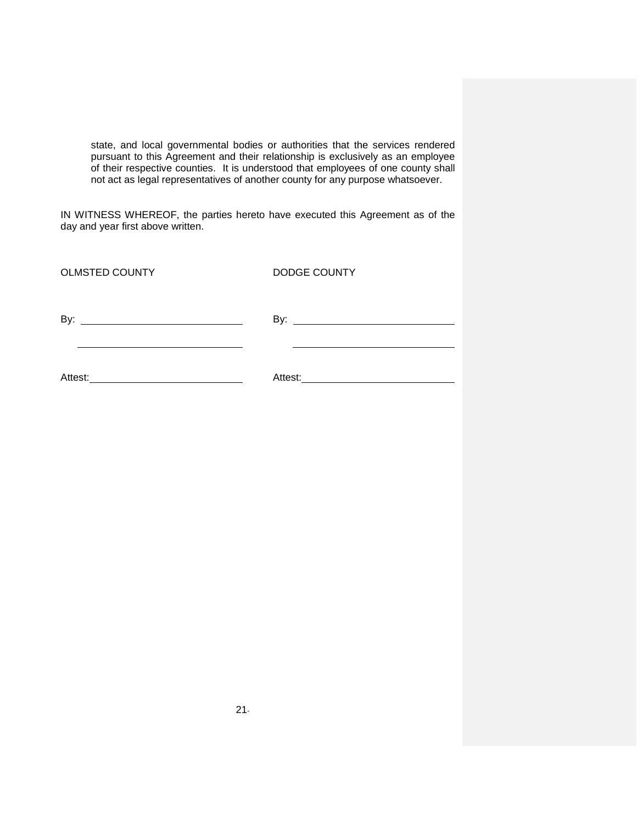state, and local governmental bodies or authorities that the services rendered pursuant to this Agreement and their relationship is exclusively as an employee of their respective counties. It is understood that employees of one county shall not act as legal representatives of another county for any purpose whatsoever.

IN WITNESS WHEREOF, the parties hereto have executed this Agreement as of the day and year first above written.

| <b>OLMSTED COUNTY</b>                                | DODGE COUNTY |
|------------------------------------------------------|--------------|
| By:<br><u> 1980 - Andrea Andrew Maria (h. 1980).</u> |              |
| Attest:                                              | Attest:      |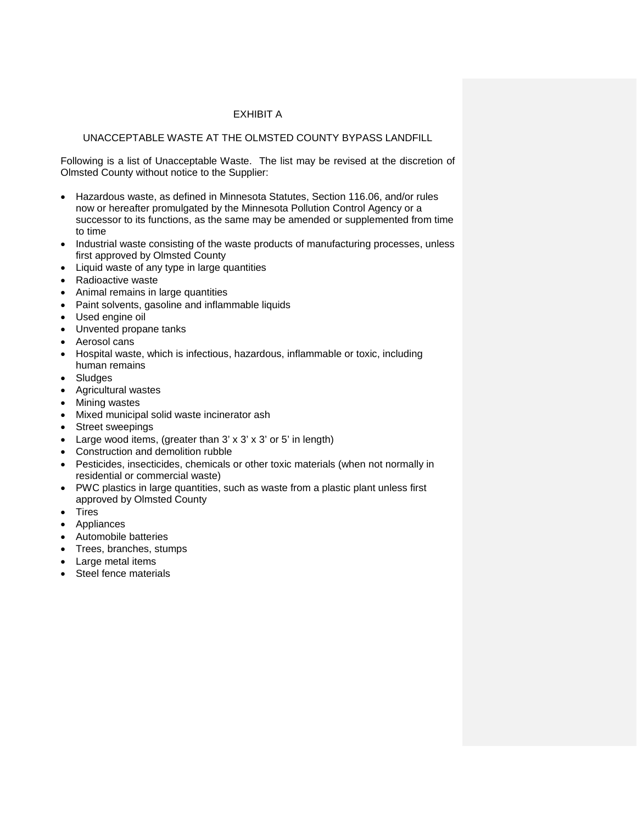# EXHIBIT A

# UNACCEPTABLE WASTE AT THE OLMSTED COUNTY BYPASS LANDFILL

Following is a list of Unacceptable Waste. The list may be revised at the discretion of Olmsted County without notice to the Supplier:

- Hazardous waste, as defined in Minnesota Statutes, Section 116.06, and/or rules now or hereafter promulgated by the Minnesota Pollution Control Agency or a successor to its functions, as the same may be amended or supplemented from time to time
- Industrial waste consisting of the waste products of manufacturing processes, unless first approved by Olmsted County
- Liquid waste of any type in large quantities
- Radioactive waste
- Animal remains in large quantities
- Paint solvents, gasoline and inflammable liquids
- Used engine oil
- Unvented propane tanks
- Aerosol cans
- Hospital waste, which is infectious, hazardous, inflammable or toxic, including human remains
- Sludges
- Agricultural wastes
- Mining wastes
- Mixed municipal solid waste incinerator ash
- Street sweepings
- Large wood items, (greater than 3' x 3' x 3' or 5' in length)
- Construction and demolition rubble
- Pesticides, insecticides, chemicals or other toxic materials (when not normally in residential or commercial waste)
- PWC plastics in large quantities, such as waste from a plastic plant unless first approved by Olmsted County
- Tires
- Appliances
- Automobile batteries
- Trees, branches, stumps
- Large metal items
- Steel fence materials